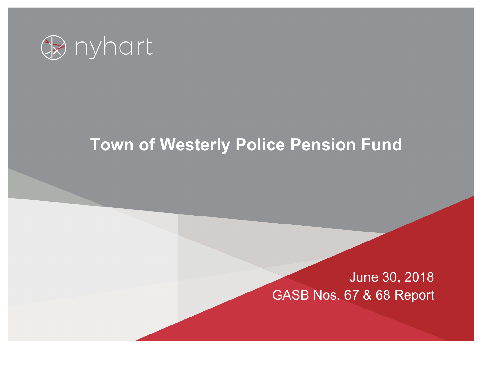

# **Town of Westerly Police Pension Fund**

## June 30, 2018 GASB Nos. 67 & 68 Report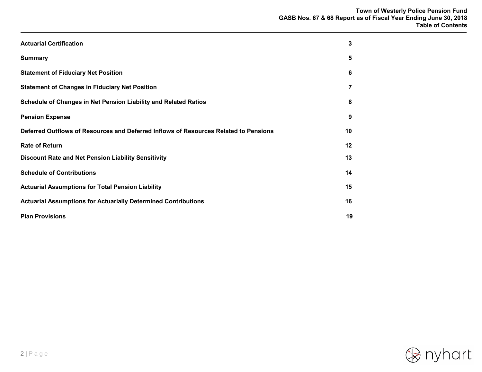| <b>Actuarial Certification</b>                                                       | 3  |
|--------------------------------------------------------------------------------------|----|
| <b>Summary</b>                                                                       | 5  |
| <b>Statement of Fiduciary Net Position</b>                                           | 6  |
| <b>Statement of Changes in Fiduciary Net Position</b>                                | 7  |
| Schedule of Changes in Net Pension Liability and Related Ratios                      | 8  |
| <b>Pension Expense</b>                                                               | 9  |
| Deferred Outflows of Resources and Deferred Inflows of Resources Related to Pensions | 10 |
| <b>Rate of Return</b>                                                                | 12 |
| Discount Rate and Net Pension Liability Sensitivity                                  | 13 |
| <b>Schedule of Contributions</b>                                                     | 14 |
| <b>Actuarial Assumptions for Total Pension Liability</b>                             | 15 |
| <b>Actuarial Assumptions for Actuarially Determined Contributions</b>                | 16 |
| <b>Plan Provisions</b>                                                               | 19 |

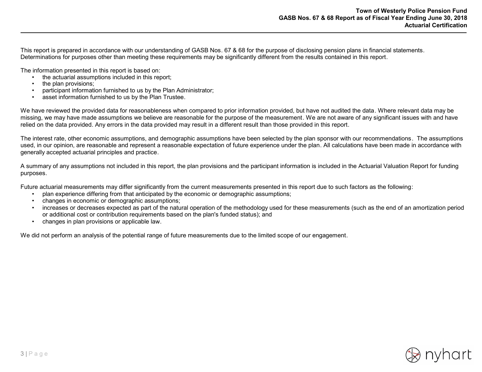This report is prepared in accordance with our understanding of GASB Nos. 67 & 68 for the purpose of disclosing pension plans in financial statements. Determinations for purposes other than meeting these requirements may be significantly different from the results contained in this report.

The information presented in this report is based on:

- the actuarial assumptions included in this report;
- the plan provisions;
- participant information furnished to us by the Plan Administrator;
- asset information furnished to us by the Plan Trustee.

We have reviewed the provided data for reasonableness when compared to prior information provided, but have not audited the data. Where relevant data may be missing, we may have made assumptions we believe are reasonable for the purpose of the measurement. We are not aware of any significant issues with and have relied on the data provided. Any errors in the data provided may result in a different result than those provided in this report.

The interest rate, other economic assumptions, and demographic assumptions have been selected by the plan sponsor with our recommendations. The assumptions used, in our opinion, are reasonable and represent a reasonable expectation of future experience under the plan. All calculations have been made in accordance with generally accepted actuarial principles and practice.

A summary of any assumptions not included in this report, the plan provisions and the participant information is included in the Actuarial Valuation Report for funding purposes.

Future actuarial measurements may differ significantly from the current measurements presented in this report due to such factors as the following:

- plan experience differing from that anticipated by the economic or demographic assumptions;
- changes in economic or demographic assumptions;
- increases or decreases expected as part of the natural operation of the methodology used for these measurements (such as the end of an amortization period or additional cost or contribution requirements based on the plan's funded status); and
- changes in plan provisions or applicable law.

We did not perform an analysis of the potential range of future measurements due to the limited scope of our engagement.

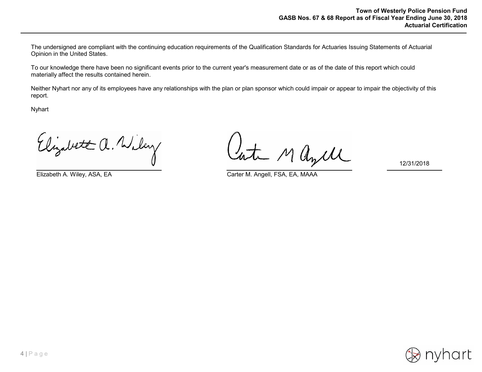The undersigned are compliant with the continuing education requirements of the Qualification Standards for Actuaries Issuing Statements of Actuarial Opinion in the United States.

To our knowledge there have been no significant events prior to the current year's measurement date or as of the date of this report which could materially affect the results contained herein.

Neither Nyhart nor any of its employees have any relationships with the plan or plan sponsor which could impair or appear to impair the objectivity of this report.

Nyhart

Elizabet a. Wiley

Late Mayer

Elizabeth A. Wiley, ASA, EA Carter M. Angell, FSA, EA, MAAA

12/31/2018

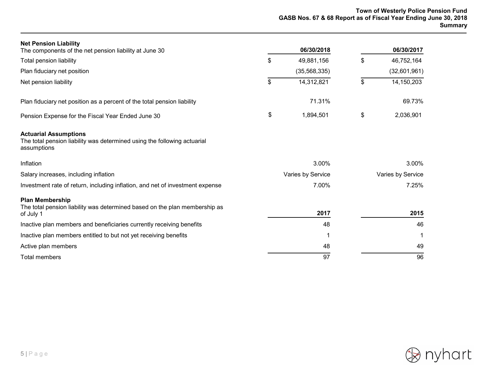| <b>Net Pension Liability</b><br>The components of the net pension liability at June 30                                  | 06/30/2018        | 06/30/2017        |
|-------------------------------------------------------------------------------------------------------------------------|-------------------|-------------------|
| <b>Total pension liability</b>                                                                                          | \$<br>49,881,156  | \$<br>46,752,164  |
| Plan fiduciary net position                                                                                             | (35, 568, 335)    | (32,601,961)      |
| Net pension liability                                                                                                   | \$<br>14,312,821  | \$<br>14,150,203  |
| Plan fiduciary net position as a percent of the total pension liability                                                 | 71.31%            | 69.73%            |
| Pension Expense for the Fiscal Year Ended June 30                                                                       | \$<br>1,894,501   | \$<br>2,036,901   |
| <b>Actuarial Assumptions</b><br>The total pension liability was determined using the following actuarial<br>assumptions |                   |                   |
| Inflation                                                                                                               | 3.00%             | 3.00%             |
| Salary increases, including inflation                                                                                   | Varies by Service | Varies by Service |
| Investment rate of return, including inflation, and net of investment expense                                           | 7.00%             | 7.25%             |
| <b>Plan Membership</b><br>The total pension liability was determined based on the plan membership as<br>of July 1       | 2017              | 2015              |
| Inactive plan members and beneficiaries currently receiving benefits                                                    | 48                | 46                |
| Inactive plan members entitled to but not yet receiving benefits                                                        | 1                 |                   |
| Active plan members                                                                                                     | 48                | 49                |
| <b>Total members</b>                                                                                                    | 97                | 96                |

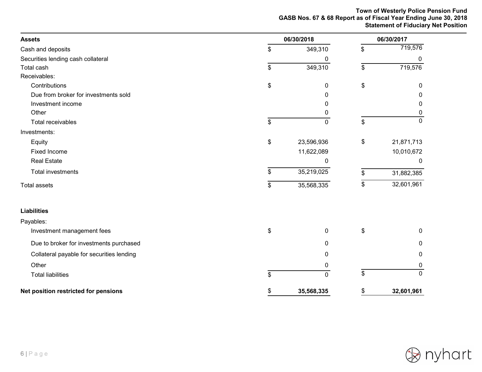#### **Town of Westerly Police Pension Fund GASB Nos. 67 & 68 Report as of Fiscal Year Ending June 30, 2018 Statement of Fiduciary Net Position**

| <b>Assets</b>                             | 06/30/2018       |    |              |  |
|-------------------------------------------|------------------|----|--------------|--|
| Cash and deposits                         | \$<br>349,310    | \$ | 719,576      |  |
| Securities lending cash collateral        | 0                |    | 0            |  |
| Total cash                                | \$<br>349,310    | \$ | 719,576      |  |
| Receivables:                              |                  |    |              |  |
| Contributions                             | \$<br>0          | \$ | $\Omega$     |  |
| Due from broker for investments sold      | 0                |    | 0            |  |
| Investment income                         | 0                |    | 0            |  |
| Other                                     | 0                |    | 0            |  |
| Total receivables                         | \$<br>0          | \$ | $\Omega$     |  |
| Investments:                              |                  |    |              |  |
| Equity                                    | \$<br>23,596,936 | \$ | 21,871,713   |  |
| <b>Fixed Income</b>                       | 11,622,089       |    | 10,010,672   |  |
| <b>Real Estate</b>                        | 0                |    | $\mathbf{0}$ |  |
| <b>Total investments</b>                  | \$<br>35,219,025 | \$ | 31,882,385   |  |
| <b>Total assets</b>                       | \$<br>35,568,335 | \$ | 32,601,961   |  |
| <b>Liabilities</b>                        |                  |    |              |  |
| Payables:                                 |                  |    |              |  |
| Investment management fees                | \$<br>0          | \$ | $\mathbf{0}$ |  |
| Due to broker for investments purchased   | 0                |    | 0            |  |
| Collateral payable for securities lending | 0                |    | 0            |  |
| Other                                     | 0                |    | 0            |  |
| <b>Total liabilities</b>                  | \$<br>0          | \$ | $\mathbf 0$  |  |
| Net position restricted for pensions      | \$<br>35,568,335 | \$ | 32,601,961   |  |

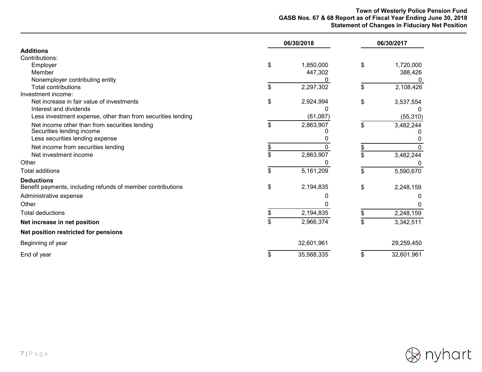#### **Town of Westerly Police Pension Fund GASB Nos. 67 & 68 Report as of Fiscal Year Ending June 30, 2018 Statement of Changes in Fiduciary Net Position**

|                                                                            | 06/30/2018       | 06/30/2017 |            |  |  |
|----------------------------------------------------------------------------|------------------|------------|------------|--|--|
| <b>Additions</b>                                                           |                  |            |            |  |  |
| Contributions:                                                             |                  |            |            |  |  |
| Employer                                                                   | \$<br>1,850,000  | \$         | 1,720,000  |  |  |
| Member                                                                     | 447,302          |            | 388,426    |  |  |
| Nonemployer contributing entity                                            |                  |            | 0          |  |  |
| <b>Total contributions</b>                                                 | \$<br>2,297,302  | \$         | 2,108,426  |  |  |
| Investment income:                                                         |                  |            |            |  |  |
| Net increase in fair value of investments<br>Interest and dividends        | \$<br>2,924,994  | \$         | 3,537,554  |  |  |
| Less investment expense, other than from securities lending                | (61,087)         |            | (55, 310)  |  |  |
|                                                                            |                  |            |            |  |  |
| Net income other than from securities lending<br>Securities lending income | \$<br>2,863,907  | \$         | 3,482,244  |  |  |
| Less securities lending expense                                            |                  |            |            |  |  |
| Net income from securities lending                                         |                  |            |            |  |  |
| Net investment income                                                      | 2,863,907        | \$         | 3,482,244  |  |  |
| Other                                                                      |                  |            |            |  |  |
| <b>Total additions</b>                                                     | \$<br>5,161,209  | \$         | 5,590,670  |  |  |
| <b>Deductions</b>                                                          |                  |            |            |  |  |
| Benefit payments, including refunds of member contributions                | \$<br>2,194,835  | \$         | 2,248,159  |  |  |
| Administrative expense                                                     |                  |            |            |  |  |
| Other                                                                      |                  |            |            |  |  |
| <b>Total deductions</b>                                                    | 2,194,835        |            | 2,248,159  |  |  |
| Net increase in net position                                               | \$<br>2,966,374  | \$         | 3,342,511  |  |  |
| Net position restricted for pensions                                       |                  |            |            |  |  |
| Beginning of year                                                          | 32,601,961       |            | 29,259,450 |  |  |
| End of year                                                                | \$<br>35,568,335 | \$         | 32,601,961 |  |  |

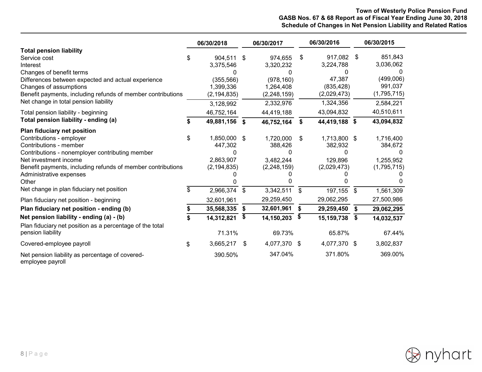#### **Town of Westerly Police Pension Fund GASB Nos. 67 & 68 Report as of Fiscal Year Ending June 30, 2018 Schedule of Changes in Net Pension Liability and Related Ratios**

|                                                                                                                                                                                                                                                                                                               |           | 06/30/2018                                                                       |          | 06/30/2017                                                                    |          | 06/30/2016                                                               |                | 06/30/2015                                                               |
|---------------------------------------------------------------------------------------------------------------------------------------------------------------------------------------------------------------------------------------------------------------------------------------------------------------|-----------|----------------------------------------------------------------------------------|----------|-------------------------------------------------------------------------------|----------|--------------------------------------------------------------------------|----------------|--------------------------------------------------------------------------|
| <b>Total pension liability</b><br>Service cost<br>Interest<br>Changes of benefit terms<br>Differences between expected and actual experience<br>Changes of assumptions<br>Benefit payments, including refunds of member contributions<br>Net change in total pension liability                                | S         | 904,511 \$<br>3,375,546<br>(355, 566)<br>1,399,336<br>(2, 194, 835)<br>3,128,992 |          | 974,655<br>3,320,232<br>(978, 160)<br>1,264,408<br>(2, 248, 159)<br>2,332,976 | \$       | 917,082<br>3,224,788<br>47,387<br>(835, 428)<br>(2,029,473)<br>1,324,356 | -\$            | 851,843<br>3,036,062<br>(499,006)<br>991,037<br>(1,795,715)<br>2,584,221 |
| Total pension liability - beginning                                                                                                                                                                                                                                                                           |           | 46,752,164                                                                       |          | 44,419,188                                                                    |          | 43,094,832                                                               |                | 40,510,611                                                               |
| Total pension liability - ending (a)                                                                                                                                                                                                                                                                          |           | 49,881,156 \$                                                                    |          | 46,752,164                                                                    | \$       | 44,419,188 \$                                                            |                | 43,094,832                                                               |
| Plan fiduciary net position<br>Contributions - employer<br>Contributions - member<br>Contributions - nonemployer contributing member<br>Net investment income<br>Benefit payments, including refunds of member contributions<br>Administrative expenses<br>Other<br>Net change in plan fiduciary net position | \$<br>\$. | 1,850,000<br>447,302<br>0<br>2,863,907<br>(2, 194, 835)<br>2,966,374             | \$<br>\$ | 1,720,000<br>388,426<br>0<br>3,482,244<br>(2, 248, 159)<br>3,342,511          | \$<br>\$ | 1,713,800 \$<br>382,932<br>129,896<br>(2,029,473)<br>197,155             | $\mathfrak{S}$ | 1,716,400<br>384,672<br>1,255,952<br>(1,795,715)<br>1,561,309            |
| Plan fiduciary net position - beginning                                                                                                                                                                                                                                                                       |           | 32,601,961                                                                       |          | 29,259,450                                                                    |          | 29,062,295                                                               |                | 27,500,986                                                               |
| Plan fiduciary net position - ending (b)                                                                                                                                                                                                                                                                      |           | 35,568,335                                                                       | \$       | 32,601,961                                                                    | \$       | 29,259,450                                                               | \$             | 29,062,295                                                               |
| Net pension liability - ending (a) - (b)                                                                                                                                                                                                                                                                      |           | 14,312,821                                                                       | \$       | 14,150,203                                                                    | \$       | 15, 159, 738                                                             | \$             | 14,032,537                                                               |
| Plan fiduciary net position as a percentage of the total<br>pension liability                                                                                                                                                                                                                                 |           | 71.31%                                                                           |          | 69.73%                                                                        |          | 65.87%                                                                   |                | 67.44%                                                                   |
| Covered-employee payroll                                                                                                                                                                                                                                                                                      | \$        | 3,665,217                                                                        | -\$      | 4,077,370 \$                                                                  |          | 4,077,370 \$                                                             |                | 3,802,837                                                                |
| Net pension liability as percentage of covered-<br>employee payroll                                                                                                                                                                                                                                           |           | 390.50%                                                                          |          | 347.04%                                                                       |          | 371.80%                                                                  |                | 369.00%                                                                  |

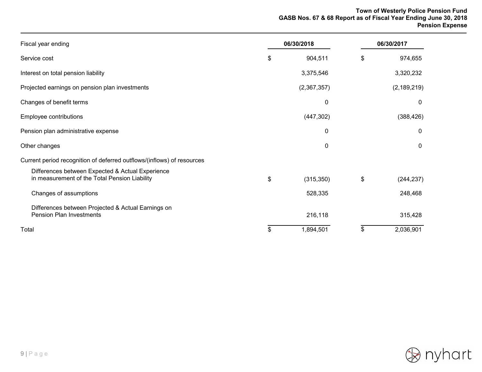#### **Town of Westerly Police Pension Fund GASB Nos. 67 & 68 Report as of Fiscal Year Ending June 30, 2018 Pension Expense**

| Fiscal year ending                                                                                | 06/30/2018 |             | 06/30/2017       |  |
|---------------------------------------------------------------------------------------------------|------------|-------------|------------------|--|
| Service cost                                                                                      | \$         | 904,511     | \$<br>974,655    |  |
| Interest on total pension liability                                                               |            | 3,375,546   | 3,320,232        |  |
| Projected earnings on pension plan investments                                                    |            | (2,367,357) | (2, 189, 219)    |  |
| Changes of benefit terms                                                                          |            | 0           | 0                |  |
| Employee contributions                                                                            |            | (447, 302)  | (388, 426)       |  |
| Pension plan administrative expense                                                               |            | 0           | $\mathbf{0}$     |  |
| Other changes                                                                                     |            | 0           | 0                |  |
| Current period recognition of deferred outflows/(inflows) of resources                            |            |             |                  |  |
| Differences between Expected & Actual Experience<br>in measurement of the Total Pension Liability | \$         | (315, 350)  | \$<br>(244, 237) |  |
| Changes of assumptions                                                                            |            | 528,335     | 248,468          |  |
| Differences between Projected & Actual Earnings on<br><b>Pension Plan Investments</b>             |            | 216,118     | 315,428          |  |
| Total                                                                                             | \$         | 1,894,501   | \$<br>2,036,901  |  |

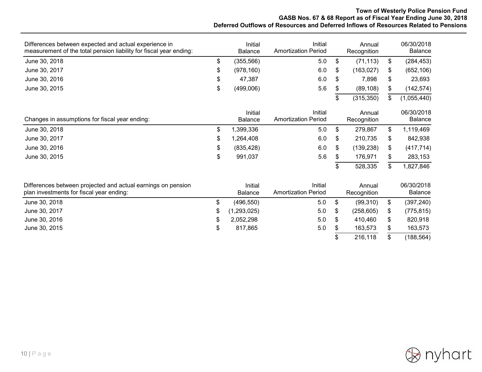#### **Town of Westerly Police Pension Fund GASB Nos. 67 & 68 Report as of Fiscal Year Ending June 30, 2018 Deferred Outflows of Resources and Deferred Inflows of Resources Related to Pensions**

| Differences between expected and actual experience in<br>measurement of the total pension liability for fiscal year ending: |    | Initial<br><b>Balance</b> | Initial<br><b>Amortization Period</b> |    | Annual<br>Recognition | 06/30/2018<br>Balance        |
|-----------------------------------------------------------------------------------------------------------------------------|----|---------------------------|---------------------------------------|----|-----------------------|------------------------------|
| June 30, 2018                                                                                                               | \$ | (355, 566)                | 5.0                                   | \$ | (71, 113)             | \$<br>(284, 453)             |
| June 30, 2017                                                                                                               | \$ | (978, 160)                | 6.0                                   | \$ | (163, 027)            | \$<br>(652, 106)             |
| June 30, 2016                                                                                                               | \$ | 47,387                    | 6.0                                   | \$ | 7,898                 | \$<br>23,693                 |
| June 30, 2015                                                                                                               | \$ | (499,006)                 | 5.6                                   | \$ | (89, 108)             | \$<br>(142, 574)             |
|                                                                                                                             |    |                           |                                       | \$ | (315, 350)            | \$<br>(1,055,440)            |
| Changes in assumptions for fiscal year ending:                                                                              |    | Initial<br><b>Balance</b> | Initial<br><b>Amortization Period</b> |    | Annual<br>Recognition | 06/30/2018<br><b>Balance</b> |
| June 30, 2018                                                                                                               | \$ | 1,399,336                 | 5.0                                   | \$ | 279,867               | \$<br>1,119,469              |
| June 30, 2017                                                                                                               | \$ | 1,264,408                 | 6.0                                   | \$ | 210,735               | \$<br>842,938                |
| June 30, 2016                                                                                                               | \$ | (835, 428)                | 6.0                                   | \$ | (139, 238)            | \$<br>(417, 714)             |
| June 30, 2015                                                                                                               | \$ | 991,037                   | 5.6                                   | \$ | 176,971               | \$<br>283,153                |
|                                                                                                                             |    |                           |                                       | \$ | 528,335               | \$<br>1,827,846              |
| Differences between projected and actual earnings on pension<br>plan investments for fiscal year ending:                    |    | Initial<br><b>Balance</b> | Initial<br><b>Amortization Period</b> |    | Annual<br>Recognition | 06/30/2018<br>Balance        |
| June 30, 2018                                                                                                               | \$ | (496, 550)                | 5.0                                   | \$ | (99,310)              | \$<br>(397, 240)             |
| June 30, 2017                                                                                                               | \$ | (1,293,025)               | 5.0                                   | \$ | (258, 605)            | \$<br>(775, 815)             |
| June 30, 2016                                                                                                               | S  | 2,052,298                 | 5.0                                   | S  | 410,460               | \$<br>820,918                |
| June 30, 2015                                                                                                               | \$ | 817,865                   | 5.0                                   | \$ | 163,573               | \$<br>163,573                |
|                                                                                                                             |    |                           |                                       |    | 216,118               | \$<br>(188, 564)             |

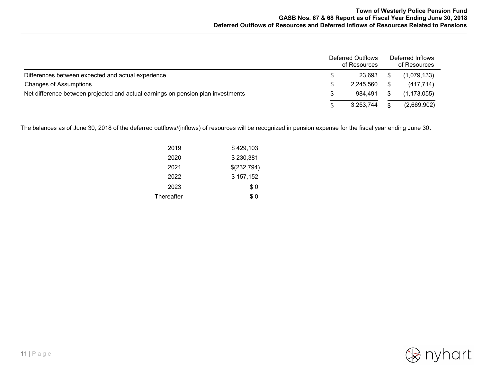|                                                                                  |    | Deferred Outflows<br>of Resources | Deferred Inflows<br>of Resources |
|----------------------------------------------------------------------------------|----|-----------------------------------|----------------------------------|
| Differences between expected and actual experience                               |    | 23.693                            | (1,079,133)                      |
| <b>Changes of Assumptions</b>                                                    |    | 2.245.560                         | (417, 714)                       |
| Net difference between projected and actual earnings on pension plan investments | S. | 984.491                           | (1, 173, 055)                    |
|                                                                                  |    | 3,253,744                         | (2,669,902)                      |

The balances as of June 30, 2018 of the deferred outflows/(inflows) of resources will be recognized in pension expense for the fiscal year ending June 30.

| 2019       | \$429,103   |
|------------|-------------|
| 2020       | \$230,381   |
| 2021       | \$(232,794) |
| 2022       | \$157,152   |
| 2023       | \$0         |
| Thereafter | \$ 0        |

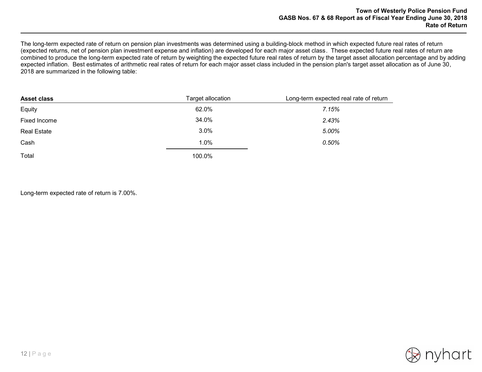The long-term expected rate of return on pension plan investments was determined using a building-block method in which expected future real rates of return (expected returns, net of pension plan investment expense and inflation) are developed for each major asset class. These expected future real rates of return are combined to produce the long-term expected rate of return by weighting the expected future real rates of return by the target asset allocation percentage and by adding expected inflation. Best estimates of arithmetic real rates of return for each major asset class included in the pension plan's target asset allocation as of June 30, 2018 are summarized in the following table:

| <b>Asset class</b> | Target allocation | Long-term expected real rate of return |
|--------------------|-------------------|----------------------------------------|
| Equity             | 62.0%             | 7.15%                                  |
| Fixed Income       | 34.0%             | 2.43%                                  |
| <b>Real Estate</b> | 3.0%              | 5.00%                                  |
| Cash               | 1.0%              | 0.50%                                  |
| Total              | 100.0%            |                                        |

Long-term expected rate of return is 7.00%.

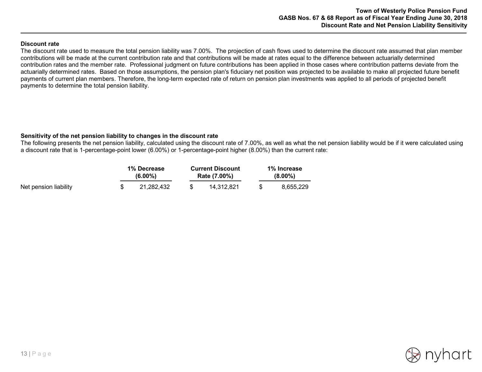#### **Discount rate**

The discount rate used to measure the total pension liability was 7.00%. The projection of cash flows used to determine the discount rate assumed that plan member contributions will be made at the current contribution rate and that contributions will be made at rates equal to the difference between actuarially determined contribution rates and the member rate. Professional judgment on future contributions has been applied in those cases where contribution patterns deviate from the actuarially determined rates. Based on those assumptions, the pension plan's fiduciary net position was projected to be available to make all projected future benefit payments of current plan members. Therefore, the long-term expected rate of return on pension plan investments was applied to all periods of projected benefit payments to determine the total pension liability.

#### **Sensitivity of the net pension liability to changes in the discount rate**

The following presents the net pension liability, calculated using the discount rate of 7.00%, as well as what the net pension liability would be if it were calculated using a discount rate that is 1-percentage-point lower (6.00%) or 1-percentage-point higher (8.00%) than the current rate:

|                       |  | 1% Decrease |  | <b>Current Discount</b> | 1% Increase |           |  |  |
|-----------------------|--|-------------|--|-------------------------|-------------|-----------|--|--|
|                       |  | $(6.00\%)$  |  | Rate (7.00%)            | $(8.00\%)$  |           |  |  |
| Net pension liability |  | 21.282.432  |  | 14.312.821              |             | 8.655.229 |  |  |

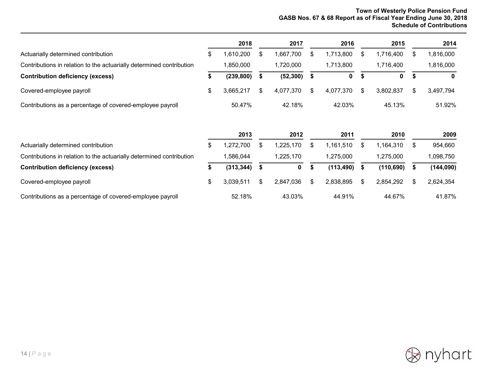#### **Town of Westerly Police Pension Fund GASB Nos. 67 & 68 Report as of Fiscal Year Ending June 30, 2018 Schedule of Contributions**

\$ 3,039,511 2,847,036 2,838,895 2,854,292 2,624,354

2,838,895 \$

52.18% 43.03% 44.91% 44.67% 41.87%

|                                                                      |    | 2018       |    | 2017         |      | 2016       | 2015            |    | 2014        |
|----------------------------------------------------------------------|----|------------|----|--------------|------|------------|-----------------|----|-------------|
| Actuarially determined contribution                                  | \$ | 1,610,200  | S  | 1,667,700    | S    | 1,713,800  | \$<br>1,716,400 | S  | 1,816,000   |
| Contributions in relation to the actuarially determined contribution |    | 1,850,000  |    | 1,720,000    |      | 1,713,800  | 1,716,400       |    | 1,816,000   |
| <b>Contribution deficiency (excess)</b>                              | \$ | (239, 800) | S  | (52, 300)    | - \$ | 0          | \$<br>0         | S  | $\mathbf 0$ |
| Covered-employee payroll                                             | \$ | 3,665,217  | S. | 4,077,370    | \$.  | 4,077,370  | \$<br>3,802,837 | S  | 3,497,794   |
| Contributions as a percentage of covered-employee payroll            |    | 50.47%     |    | 42.18%       |      | 42.03%     | 45.13%          |    | 51.92%      |
|                                                                      |    | 2013       |    | 2012         |      | 2011       | 2010            |    | 2009        |
| Actuarially determined contribution                                  | \$ | 1,272,700  | \$ | 1,225,170    | \$   | 1,161,510  | \$<br>1,164,310 | \$ | 954,660     |
| Contributions in relation to the actuarially determined contribution |    | 1,586,044  |    | 1,225,170    |      | 1,275,000  | 1,275,000       |    | 1,098,750   |
| <b>Contribution deficiency (excess)</b>                              | æ. | (313, 344) |    | $\mathbf{0}$ |      | (113, 490) | (110, 690)      |    | (144, 090)  |

3,039,511 \$

\$

Contributions as a percentage of covered-employee payroll



\$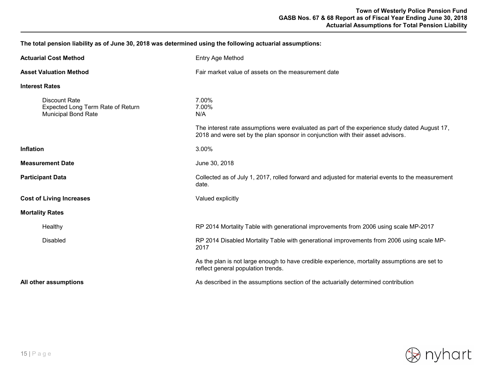**The total pension liability as of June 30, 2018 was determined using the following actuarial assumptions:**

| <b>Actuarial Cost Method</b>                                                     | Entry Age Method                                                                                                                                                                                          |  |
|----------------------------------------------------------------------------------|-----------------------------------------------------------------------------------------------------------------------------------------------------------------------------------------------------------|--|
| <b>Asset Valuation Method</b>                                                    | Fair market value of assets on the measurement date                                                                                                                                                       |  |
| <b>Interest Rates</b>                                                            |                                                                                                                                                                                                           |  |
| Discount Rate<br>Expected Long Term Rate of Return<br><b>Municipal Bond Rate</b> | 7.00%<br>7.00%<br>N/A<br>The interest rate assumptions were evaluated as part of the experience study dated August 17,<br>2018 and were set by the plan sponsor in conjunction with their asset advisors. |  |
|                                                                                  |                                                                                                                                                                                                           |  |
| <b>Inflation</b>                                                                 | 3.00%                                                                                                                                                                                                     |  |
| <b>Measurement Date</b>                                                          | June 30, 2018                                                                                                                                                                                             |  |
| <b>Participant Data</b>                                                          | Collected as of July 1, 2017, rolled forward and adjusted for material events to the measurement<br>date.                                                                                                 |  |
| <b>Cost of Living Increases</b>                                                  | Valued explicitly                                                                                                                                                                                         |  |
| <b>Mortality Rates</b>                                                           |                                                                                                                                                                                                           |  |
| Healthy                                                                          | RP 2014 Mortality Table with generational improvements from 2006 using scale MP-2017                                                                                                                      |  |
| <b>Disabled</b>                                                                  | RP 2014 Disabled Mortality Table with generational improvements from 2006 using scale MP-<br>2017                                                                                                         |  |
|                                                                                  | As the plan is not large enough to have credible experience, mortality assumptions are set to<br>reflect general population trends.                                                                       |  |
| All other assumptions                                                            | As described in the assumptions section of the actuarially determined contribution                                                                                                                        |  |

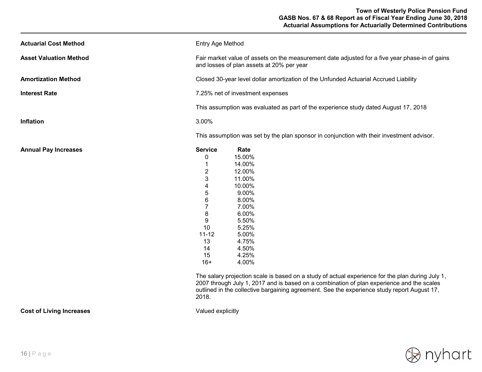| Entry Age Method                                                                                                                                                                                                                                                                                 |                                                                                     |  |  |
|--------------------------------------------------------------------------------------------------------------------------------------------------------------------------------------------------------------------------------------------------------------------------------------------------|-------------------------------------------------------------------------------------|--|--|
| Fair market value of assets on the measurement date adjusted for a five year phase-in of gains<br>and losses of plan assets at 20% per year                                                                                                                                                      |                                                                                     |  |  |
| Closed 30-year level dollar amortization of the Unfunded Actuarial Accrued Liability                                                                                                                                                                                                             |                                                                                     |  |  |
| 7.25% net of investment expenses                                                                                                                                                                                                                                                                 |                                                                                     |  |  |
|                                                                                                                                                                                                                                                                                                  |                                                                                     |  |  |
| 3.00%                                                                                                                                                                                                                                                                                            |                                                                                     |  |  |
| This assumption was set by the plan sponsor in conjunction with their investment advisor.                                                                                                                                                                                                        |                                                                                     |  |  |
| <b>Service</b><br>Rate<br>15.00%<br>0<br>14.00%<br>$\overline{2}$<br>12.00%<br>3<br>11.00%<br>10.00%<br>4<br>5<br>9.00%<br>6<br>8.00%<br>$\overline{7}$<br>7.00%<br>8<br>6.00%<br>9<br>5.50%<br>10<br>5.25%<br>$11 - 12$<br>5.00%<br>13<br>4.75%<br>4.50%<br>14<br>15<br>4.25%<br>$16+$<br>4.00% |                                                                                     |  |  |
|                                                                                                                                                                                                                                                                                                  | This assumption was evaluated as part of the experience study dated August 17, 2018 |  |  |

**Cost of Living Increases Valued explicitly** 

2018.

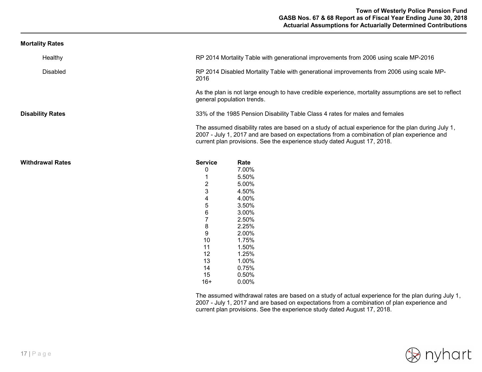| <b>Mortality Rates</b> |  |
|------------------------|--|
|------------------------|--|

| Healthy                 | RP 2014 Mortality Table with generational improvements from 2006 using scale MP-2016                                                                                                                                                                                          |
|-------------------------|-------------------------------------------------------------------------------------------------------------------------------------------------------------------------------------------------------------------------------------------------------------------------------|
| <b>Disabled</b>         | RP 2014 Disabled Mortality Table with generational improvements from 2006 using scale MP-<br>2016                                                                                                                                                                             |
|                         | As the plan is not large enough to have credible experience, mortality assumptions are set to reflect<br>general population trends.                                                                                                                                           |
| <b>Disability Rates</b> | 33% of the 1985 Pension Disability Table Class 4 rates for males and females                                                                                                                                                                                                  |
|                         | The assumed disability rates are based on a study of actual experience for the plan during July 1,<br>2007 - July 1, 2017 and are based on expectations from a combination of plan experience and<br>current plan provisions. See the experience study dated August 17, 2018. |
| Withdrawal Rates        | <b>Service</b><br>Rate                                                                                                                                                                                                                                                        |
|                         | 7.00%<br>0                                                                                                                                                                                                                                                                    |
|                         | 5.50%                                                                                                                                                                                                                                                                         |
|                         | $\overline{2}$<br>5.00%                                                                                                                                                                                                                                                       |
|                         | 3<br>4.50%                                                                                                                                                                                                                                                                    |
|                         | 4.00%<br>4                                                                                                                                                                                                                                                                    |
|                         | 5<br>3.50%                                                                                                                                                                                                                                                                    |
|                         | 3.00%<br>6                                                                                                                                                                                                                                                                    |
|                         | $\overline{7}$<br>2.50%                                                                                                                                                                                                                                                       |
|                         | 8<br>2.25%                                                                                                                                                                                                                                                                    |
|                         | 9<br>2.00%                                                                                                                                                                                                                                                                    |
|                         | 10<br>1.75%                                                                                                                                                                                                                                                                   |
|                         | 1.50%<br>11                                                                                                                                                                                                                                                                   |
|                         | 1.25%<br>12                                                                                                                                                                                                                                                                   |
|                         | 1.00%<br>13                                                                                                                                                                                                                                                                   |
|                         | 0.75%<br>14                                                                                                                                                                                                                                                                   |
|                         | 0.50%<br>15                                                                                                                                                                                                                                                                   |
|                         | 0.00%<br>$16+$                                                                                                                                                                                                                                                                |

The assumed withdrawal rates are based on a study of actual experience for the plan during July 1, 2007 - July 1, 2017 and are based on expectations from a combination of plan experience and current plan provisions. See the experience study dated August 17, 2018.

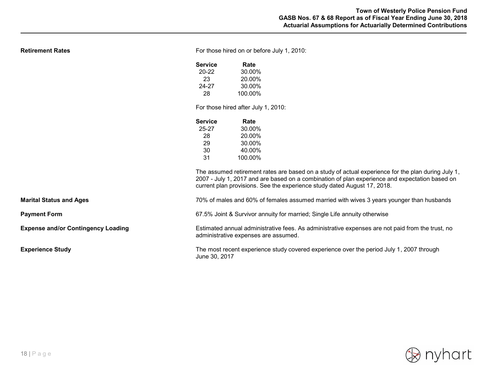| <b>Retirement Rates</b>                   | For those hired on or before July 1, 2010:                                                                                               |                                                                                                                                                                                                      |  |  |
|-------------------------------------------|------------------------------------------------------------------------------------------------------------------------------------------|------------------------------------------------------------------------------------------------------------------------------------------------------------------------------------------------------|--|--|
|                                           | <b>Service</b>                                                                                                                           | Rate                                                                                                                                                                                                 |  |  |
|                                           | $20 - 22$                                                                                                                                | 30.00%                                                                                                                                                                                               |  |  |
|                                           | 23                                                                                                                                       | 20.00%                                                                                                                                                                                               |  |  |
|                                           | 24-27                                                                                                                                    | 30.00%                                                                                                                                                                                               |  |  |
|                                           | 28                                                                                                                                       | 100.00%                                                                                                                                                                                              |  |  |
|                                           | For those hired after July 1, 2010:                                                                                                      |                                                                                                                                                                                                      |  |  |
|                                           | <b>Service</b>                                                                                                                           | Rate                                                                                                                                                                                                 |  |  |
|                                           | $25 - 27$                                                                                                                                | 30.00%                                                                                                                                                                                               |  |  |
|                                           | 28                                                                                                                                       | 20.00%                                                                                                                                                                                               |  |  |
|                                           | 29                                                                                                                                       | 30.00%                                                                                                                                                                                               |  |  |
|                                           | 30                                                                                                                                       | 40.00%                                                                                                                                                                                               |  |  |
|                                           | 31                                                                                                                                       | 100.00%                                                                                                                                                                                              |  |  |
|                                           |                                                                                                                                          | The assumed retirement rates are based on a study of actual experience for the plan during July 1,<br>2007 - July 1, 2017 and are based on a combination of plan experience and expectation based on |  |  |
|                                           |                                                                                                                                          | current plan provisions. See the experience study dated August 17, 2018.                                                                                                                             |  |  |
| <b>Marital Status and Ages</b>            | 70% of males and 60% of females assumed married with wives 3 years younger than husbands                                                 |                                                                                                                                                                                                      |  |  |
| <b>Payment Form</b>                       | 67.5% Joint & Survivor annuity for married; Single Life annuity otherwise                                                                |                                                                                                                                                                                                      |  |  |
| <b>Expense and/or Contingency Loading</b> | Estimated annual administrative fees. As administrative expenses are not paid from the trust, no<br>administrative expenses are assumed. |                                                                                                                                                                                                      |  |  |
| <b>Experience Study</b>                   | The most recent experience study covered experience over the period July 1, 2007 through<br>June 30, 2017                                |                                                                                                                                                                                                      |  |  |

 $\partial$  nyhart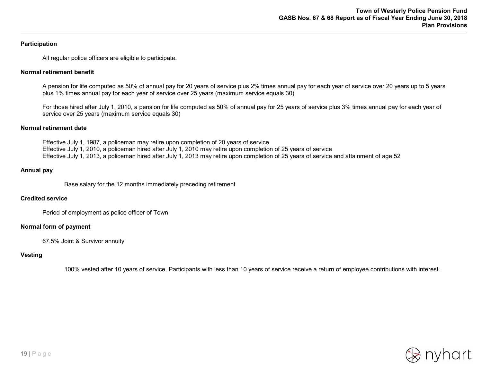#### **Participation**

All regular police officers are eligible to participate.

#### **Normal retirement benefit**

A pension for life computed as 50% of annual pay for 20 years of service plus 2% times annual pay for each year of service over 20 years up to 5 years plus 1% times annual pay for each year of service over 25 years (maximum service equals 30)

For those hired after July 1, 2010, a pension for life computed as 50% of annual pay for 25 years of service plus 3% times annual pay for each year of service over 25 years (maximum service equals 30)

#### **Normal retirement date**

Effective July 1, 1987, a policeman may retire upon completion of 20 years of service Effective July 1, 2010, a policeman hired after July 1, 2010 may retire upon completion of 25 years of service Effective July 1, 2013, a policeman hired after July 1, 2013 may retire upon completion of 25 years of service and attainment of age 52

#### **Annual pay**

Base salary for the 12 months immediately preceding retirement

#### **Credited service**

Period of employment as police officer of Town

#### **Normal form of payment**

67.5% Joint & Survivor annuity

#### **Vesting**

100% vested after 10 years of service. Participants with less than 10 years of service receive a return of employee contributions with interest.